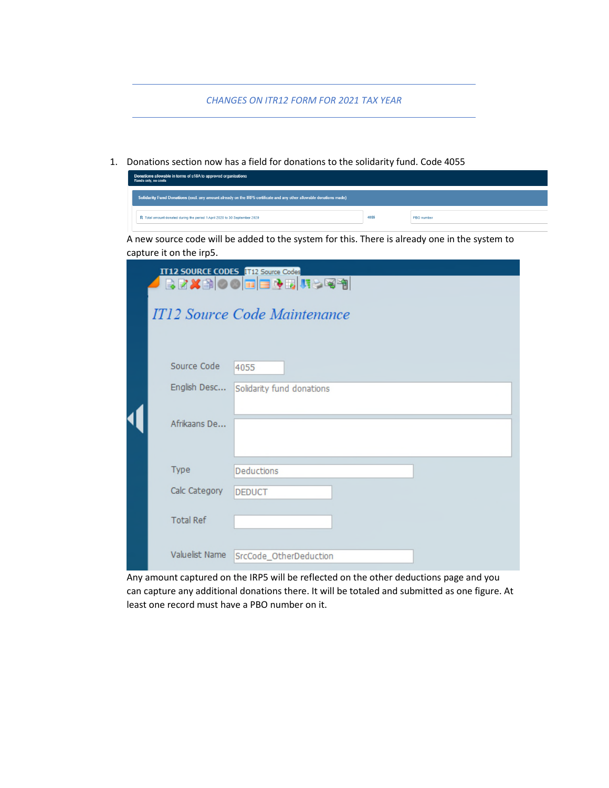*CHANGES ON ITR12 FORM FOR 2021 TAX YEAR* 

1. Donations section now has a field for donations to the solidarity fund. Code 4055

|                                                                                                                     | Donations allowable in terms of s18A to approved organisations<br>Rands only, no cents           |                              |  |  |  |  |  |  |  |  |  |
|---------------------------------------------------------------------------------------------------------------------|--------------------------------------------------------------------------------------------------|------------------------------|--|--|--|--|--|--|--|--|--|
| Solidarity Fund Donations (excl. any amount already on the IRP5 certificate and any other allowable donations made) |                                                                                                  |                              |  |  |  |  |  |  |  |  |  |
|                                                                                                                     | 4055<br>R Total amount donated during the period 1 April 2020 to 30 September 2020<br>PBO number |                              |  |  |  |  |  |  |  |  |  |
|                                                                                                                     | A new source code will be added to the system for this. There is already one in the system to    |                              |  |  |  |  |  |  |  |  |  |
|                                                                                                                     | capture it on the irp5.                                                                          |                              |  |  |  |  |  |  |  |  |  |
|                                                                                                                     | <b>IT12 SOURCE CODES IT12 Source Codes</b>                                                       |                              |  |  |  |  |  |  |  |  |  |
|                                                                                                                     |                                                                                                  | Rexdoore <u>e fi</u>         |  |  |  |  |  |  |  |  |  |
|                                                                                                                     |                                                                                                  | IT12 Source Code Maintenance |  |  |  |  |  |  |  |  |  |
|                                                                                                                     |                                                                                                  |                              |  |  |  |  |  |  |  |  |  |
|                                                                                                                     | Source Code                                                                                      | 4055                         |  |  |  |  |  |  |  |  |  |
|                                                                                                                     | English Desc                                                                                     | Solidarity fund donations    |  |  |  |  |  |  |  |  |  |
|                                                                                                                     |                                                                                                  |                              |  |  |  |  |  |  |  |  |  |
|                                                                                                                     | Afrikaans De                                                                                     |                              |  |  |  |  |  |  |  |  |  |
|                                                                                                                     |                                                                                                  |                              |  |  |  |  |  |  |  |  |  |
|                                                                                                                     | Type                                                                                             | Deductions                   |  |  |  |  |  |  |  |  |  |
|                                                                                                                     | Calc Category                                                                                    | <b>DEDUCT</b>                |  |  |  |  |  |  |  |  |  |
|                                                                                                                     |                                                                                                  |                              |  |  |  |  |  |  |  |  |  |
|                                                                                                                     | <b>Total Ref</b>                                                                                 |                              |  |  |  |  |  |  |  |  |  |
|                                                                                                                     |                                                                                                  |                              |  |  |  |  |  |  |  |  |  |
|                                                                                                                     | Valuelist Name                                                                                   | SrcCode_OtherDeduction       |  |  |  |  |  |  |  |  |  |

Any amount captured on the IRP5 will be reflected on the other deductions page and you can capture any additional donations there. It will be totaled and submitted as one figure. At least one record must have a PBO number on it.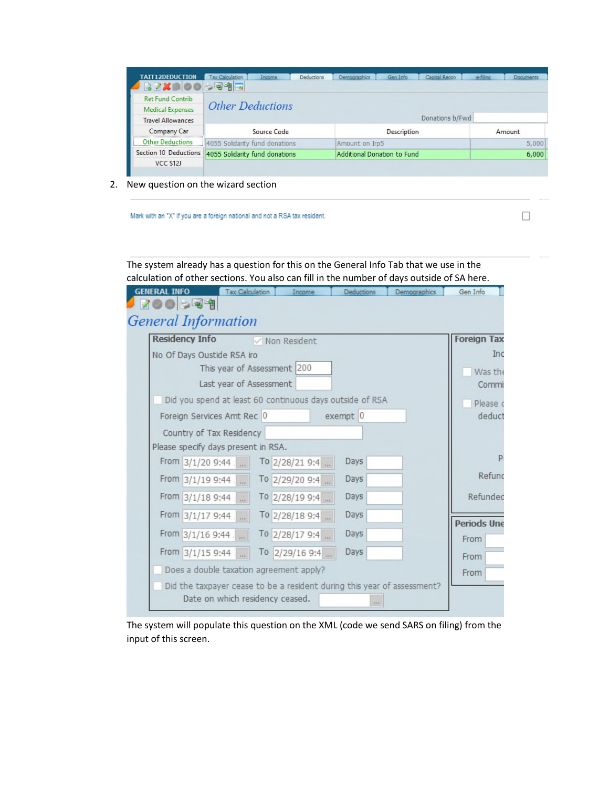| <b>TATT12DEDUCTION</b>   | <b>Tax Calculation</b><br>Income                     | Deductions | Demographics                | Gen Info           | Capital Recon   | e-filing | <b>Documents</b> |  |  |  |  |
|--------------------------|------------------------------------------------------|------------|-----------------------------|--------------------|-----------------|----------|------------------|--|--|--|--|
| <b>BRXDOO</b>            | $-$ 44 $\blacksquare$                                |            |                             |                    |                 |          |                  |  |  |  |  |
| <b>Ret Fund Contrib</b>  |                                                      |            |                             |                    |                 |          |                  |  |  |  |  |
| <b>Medical Expenses</b>  | <b>Other Deductions</b>                              |            |                             |                    |                 |          |                  |  |  |  |  |
| <b>Travel Allowances</b> |                                                      |            |                             |                    | Donations b/Fwd |          |                  |  |  |  |  |
| <b>Company Car</b>       | Source Code                                          |            |                             | <b>Description</b> |                 |          | Amount           |  |  |  |  |
| <b>Other Deductions</b>  | 4055 Solidarity fund donations                       |            | Amount on Irp5              |                    |                 |          | 5,000            |  |  |  |  |
|                          | Section 10 Deductions 4055 Solidarity fund donations |            | Additional Donation to Fund |                    |                 |          |                  |  |  |  |  |
| VCC \$12J                |                                                      |            |                             |                    |                 |          |                  |  |  |  |  |

2. New question on the wizard section

Mark with an "X" if you are a foreign national and not a RSA tax resident.

 $\Box$ 

The system already has a question for this on the General Info Tab that we use in the calculation of other sections. You also can fill in the number of days outside of SA here. **GENERAL INFO** Tax Calculation Income Deductions Demographics Gen Info 700559 **General Information Residency Info Foreign Tax**  $\nabla$  Non Resident No Of Days Oustide RSA iro Inc This year of Assessment 200 Was the Last year of Assessment Commi Did you spend at least 60 continuous days outside of RSA Please o Foreign Services Amt Rec 0  $exempt$ <sup>0</sup> deduct Country of Tax Residency Please specify days present in RSA. D Days From 3/1/20 9:44 To 2/28/21 9:4 ... Refund Days From 3/1/19 9:44 To 2/29/20 9:4 From 3/1/18 9:44 To 2/28/19 9:4 ... Days Refunded From 3/1/17 9:44 To 2/28/18 9:4 Days **Periods Une** From 3/1/16 9:44 Days To 2/28/17 9:4 From From 3/1/15 9:44 To  $2/29/169:4$  ... Days From Does a double taxation agreement apply? From Did the taxpayer cease to be a resident during this year of assessment? Date on which residency ceased.

The system will populate this question on the XML (code we send SARS on filing) from the input of this screen.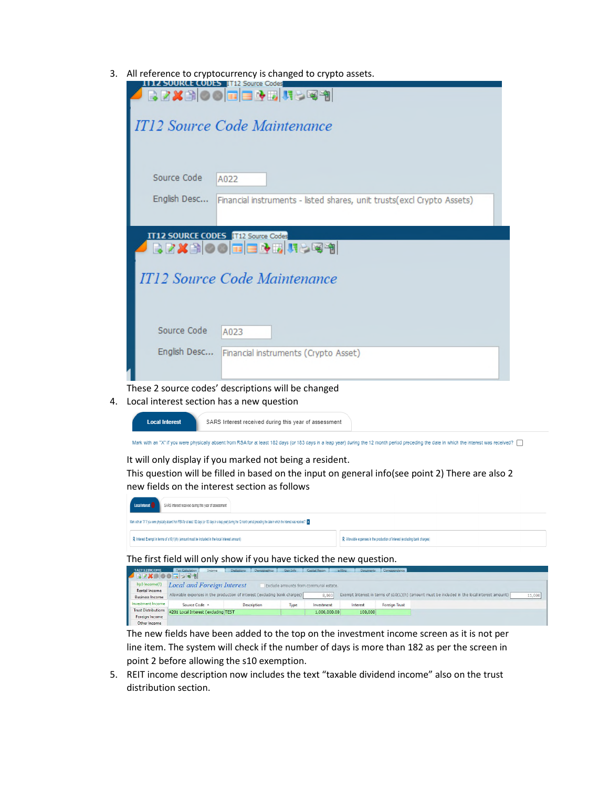3. All reference to cryptocurrency is changed to crypto assets.

| 1112 SOURCE CODES 1112 Source Codes<br>BZXAO O E ENDIÇO T                                                                                                                                                                                                                                                                            |        |
|--------------------------------------------------------------------------------------------------------------------------------------------------------------------------------------------------------------------------------------------------------------------------------------------------------------------------------------|--------|
|                                                                                                                                                                                                                                                                                                                                      |        |
| IT12 Source Code Maintenance                                                                                                                                                                                                                                                                                                         |        |
|                                                                                                                                                                                                                                                                                                                                      |        |
|                                                                                                                                                                                                                                                                                                                                      |        |
| Source Code<br>A022                                                                                                                                                                                                                                                                                                                  |        |
| English Desc<br>Financial instruments - listed shares, unit trusts(excl Crypto Assets)                                                                                                                                                                                                                                               |        |
|                                                                                                                                                                                                                                                                                                                                      |        |
| IT12 SOURCE CODES <b>IT12 Source Codes</b><br>BZXBOO <b>EEDB</b> USQ9                                                                                                                                                                                                                                                                |        |
|                                                                                                                                                                                                                                                                                                                                      |        |
| IT12 Source Code Maintenance                                                                                                                                                                                                                                                                                                         |        |
|                                                                                                                                                                                                                                                                                                                                      |        |
|                                                                                                                                                                                                                                                                                                                                      |        |
| Source Code<br>A023                                                                                                                                                                                                                                                                                                                  |        |
| English Desc   Financial instruments (Crypto Asset)                                                                                                                                                                                                                                                                                  |        |
|                                                                                                                                                                                                                                                                                                                                      |        |
| These 2 source codes' descriptions will be changed                                                                                                                                                                                                                                                                                   |        |
| Local interest section has a new question<br>4.                                                                                                                                                                                                                                                                                      |        |
| <b>Local Interest</b><br>SARS Interest received during this year of assessment                                                                                                                                                                                                                                                       |        |
| Mark with an "X" if you were physically absent from RSA for at least 182 days (or 183 days in a leap year) during the 12 month period preceding the date in which the interest was received?                                                                                                                                         |        |
| It will only display if you marked not being a resident.<br>This question will be filled in based on the input on general info(see point 2) There are also 2                                                                                                                                                                         |        |
| new fields on the interest section as follows                                                                                                                                                                                                                                                                                        |        |
| SARS Interest received during this year of assessment                                                                                                                                                                                                                                                                                |        |
| Mark with an "X" if you were physically absent from RSA for at least 182 days (or 183 days in a leap year) during the 12 month period preceding the date in which the interest was received? X                                                                                                                                       |        |
| R Interest Exempt in terms of s10(1)(h) (amount must be included in the local interest amount)<br>R Allowable expenses in the production of interest (excluding bank charges)                                                                                                                                                        |        |
| The first field will only show if you have ticked the new question.                                                                                                                                                                                                                                                                  |        |
| Tax Calculation Throme Deductions Demographics Gen Info Capital Recom<br>TAIT12INCOME<br>Documents Correspondence<br>87X 00 5 25 1                                                                                                                                                                                                   |        |
| Irp5 Income(1)<br><b>Local and Foreign Interest</b><br>Exclude amounts from communal estate.<br><b>Rental Income</b><br>Allowable expenses in the production of interest (excluding bank charges)<br>Exempt Interest in terms of s10(1)(h) (amount must be included in the local interest amount)<br>8,000<br><b>Business Income</b> | 11,000 |
| Investment Income<br><b>Description</b><br>Interest<br><b>Foreign Trust</b><br>Source Code +<br>Type<br>Investment<br><b>Trust Distributions</b><br>4201 Local Interest (excluding TEST<br>1,000,000.00<br>100,000<br><b>Foreign Income</b>                                                                                          |        |
| Other Income<br>The new fields have been added to the top on the investment income screen as it is not per                                                                                                                                                                                                                           |        |

line item. The system will check if the number of days is more than 182 as per the screen in point 2 before allowing the s10 exemption.

5. REIT income description now includes the text "taxable dividend income" also on the trust distribution section.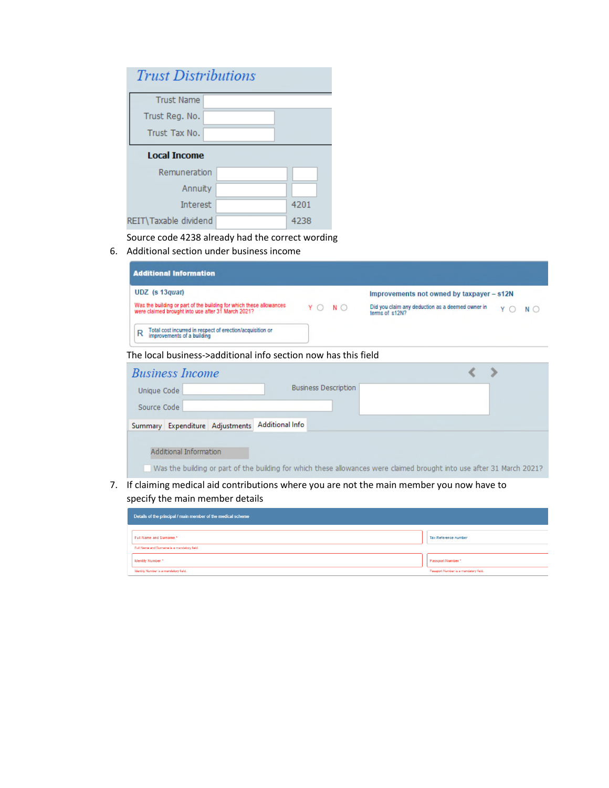| <b>Trust Distributions</b> |      |
|----------------------------|------|
| <b>Trust Name</b>          |      |
| Trust Reg. No.             |      |
| Trust Tax No.              |      |
| <b>Local Income</b>        |      |
| Remuneration               |      |
| Annuity                    |      |
| Interest                   | 4201 |
| REIT\Taxable dividend      | 4238 |

Source code 4238 already had the correct wording

6. Additional section under business income

| <b>Additional Information</b>                                                                                             |                             |                |                                                  |     |             |
|---------------------------------------------------------------------------------------------------------------------------|-----------------------------|----------------|--------------------------------------------------|-----|-------------|
| UDZ (s 13quat)                                                                                                            |                             |                | Improvements not owned by taxpayer - s12N        |     |             |
| Was the building or part of the building for which these allowances<br>were claimed brought into use after 31 March 2021? | ΥO<br>$N$ $\bigcirc$        | terms of s12N2 | Did you claim any deduction as a deemed owner in | Y() | $N$ $\circ$ |
| Total cost incurred in respect of erection/acquisition or<br>improvements of a building<br>R                              |                             |                |                                                  |     |             |
| The local business->additional info section now has this field                                                            |                             |                |                                                  |     |             |
| <b>Business Income</b>                                                                                                    |                             |                |                                                  |     |             |
| Unique Code                                                                                                               | <b>Business Description</b> |                |                                                  |     |             |

| Unique Code |                        |                                                 | <b>Business Description</b> |                                                                                                                        |  |
|-------------|------------------------|-------------------------------------------------|-----------------------------|------------------------------------------------------------------------------------------------------------------------|--|
| Source Code |                        |                                                 |                             |                                                                                                                        |  |
|             |                        | Summary Expenditure Adjustments Additional Info |                             |                                                                                                                        |  |
|             | Additional Information |                                                 |                             |                                                                                                                        |  |
|             |                        |                                                 |                             | Was the building or part of the building for which these allowances were claimed brought into use after 31 March 2021? |  |

7. If claiming medical aid contributions where you are not the main member you now have to specify the main member details

| Details of the principal / main member of the medical scheme |                                       |
|--------------------------------------------------------------|---------------------------------------|
|                                                              |                                       |
| Full Name and Surname*                                       | Tax Reference number                  |
| Full Name and Surname is a mandatory field.                  |                                       |
| Identity Number *                                            | Passport Number*                      |
| Identity Number is a mandatory field.                        | Passport Number is a mandatory field. |